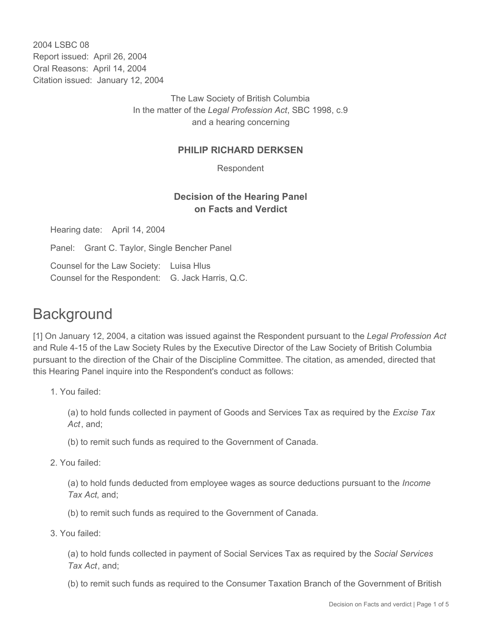2004 LSBC 08 Report issued: April 26, 2004 Oral Reasons: April 14, 2004 Citation issued: January 12, 2004

> The Law Society of British Columbia In the matter of the *Legal Profession Act*, SBC 1998, c.9 and a hearing concerning

### **PHILIP RICHARD DERKSEN**

Respondent

## **Decision of the Hearing Panel on Facts and Verdict**

Hearing date: April 14, 2004

Panel: Grant C. Taylor, Single Bencher Panel

Counsel for the Law Society: Luisa Hlus Counsel for the Respondent: G. Jack Harris, Q.C.

# **Background**

[1] On January 12, 2004, a citation was issued against the Respondent pursuant to the *Legal Profession Act* and Rule 4-15 of the Law Society Rules by the Executive Director of the Law Society of British Columbia pursuant to the direction of the Chair of the Discipline Committee. The citation, as amended, directed that this Hearing Panel inquire into the Respondent's conduct as follows:

1. You failed:

(a) to hold funds collected in payment of Goods and Services Tax as required by the *Excise Tax Act*, and;

- (b) to remit such funds as required to the Government of Canada.
- 2. You failed:

(a) to hold funds deducted from employee wages as source deductions pursuant to the *Income Tax Act*, and;

- (b) to remit such funds as required to the Government of Canada.
- 3. You failed:

(a) to hold funds collected in payment of Social Services Tax as required by the *Social Services Tax Act*, and;

(b) to remit such funds as required to the Consumer Taxation Branch of the Government of British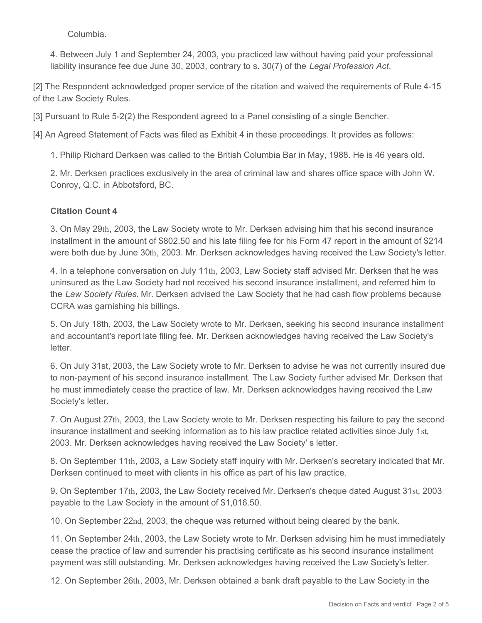Columbia.

4. Between July 1 and September 24, 2003, you practiced law without having paid your professional liability insurance fee due June 30, 2003, contrary to s. 30(7) of the *Legal Profession Act*.

[2] The Respondent acknowledged proper service of the citation and waived the requirements of Rule 4-15 of the Law Society Rules.

[3] Pursuant to Rule 5-2(2) the Respondent agreed to a Panel consisting of a single Bencher.

[4] An Agreed Statement of Facts was filed as Exhibit 4 in these proceedings. It provides as follows:

1. Philip Richard Derksen was called to the British Columbia Bar in May, 1988. He is 46 years old.

2. Mr. Derksen practices exclusively in the area of criminal law and shares office space with John W. Conroy, Q.C. in Abbotsford, BC.

### **Citation Count 4**

3. On May 29th, 2003, the Law Society wrote to Mr. Derksen advising him that his second insurance installment in the amount of \$802.50 and his late filing fee for his Form 47 report in the amount of \$214 were both due by June 30th, 2003. Mr. Derksen acknowledges having received the Law Society's letter.

4. In a telephone conversation on July 11th, 2003, Law Society staff advised Mr. Derksen that he was uninsured as the Law Society had not received his second insurance installment, and referred him to the *Law Society Rules*. Mr. Derksen advised the Law Society that he had cash flow problems because CCRA was garnishing his billings.

5. On July 18th, 2003, the Law Society wrote to Mr. Derksen, seeking his second insurance installment and accountant's report late filing fee. Mr. Derksen acknowledges having received the Law Society's letter.

6. On July 31st, 2003, the Law Society wrote to Mr. Derksen to advise he was not currently insured due to non-payment of his second insurance installment. The Law Society further advised Mr. Derksen that he must immediately cease the practice of law. Mr. Derksen acknowledges having received the Law Society's letter.

7. On August 27th, 2003, the Law Society wrote to Mr. Derksen respecting his failure to pay the second insurance installment and seeking information as to his law practice related activities since July 1st, 2003. Mr. Derksen acknowledges having received the Law Society' s letter.

8. On September 11th, 2003, a Law Society staff inquiry with Mr. Derksen's secretary indicated that Mr. Derksen continued to meet with clients in his office as part of his law practice.

9. On September 17th, 2003, the Law Society received Mr. Derksen's cheque dated August 31st, 2003 payable to the Law Society in the amount of \$1,016.50.

10. On September 22nd, 2003, the cheque was returned without being cleared by the bank.

11. On September 24th, 2003, the Law Society wrote to Mr. Derksen advising him he must immediately cease the practice of law and surrender his practising certificate as his second insurance installment payment was still outstanding. Mr. Derksen acknowledges having received the Law Society's letter.

12. On September 26th, 2003, Mr. Derksen obtained a bank draft payable to the Law Society in the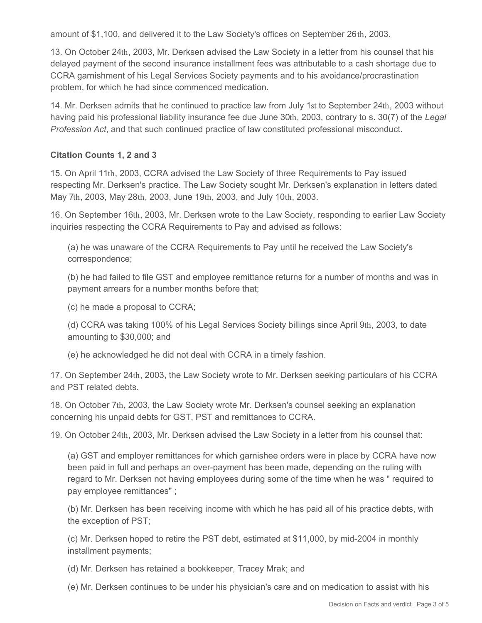amount of \$1,100, and delivered it to the Law Society's offices on September 26th, 2003.

13. On October 24th, 2003, Mr. Derksen advised the Law Society in a letter from his counsel that his delayed payment of the second insurance installment fees was attributable to a cash shortage due to CCRA garnishment of his Legal Services Society payments and to his avoidance/procrastination problem, for which he had since commenced medication.

14. Mr. Derksen admits that he continued to practice law from July 1st to September 24th, 2003 without having paid his professional liability insurance fee due June 30th, 2003, contrary to s. 30(7) of the *Legal Profession Act*, and that such continued practice of law constituted professional misconduct.

#### **Citation Counts 1, 2 and 3**

15. On April 11th, 2003, CCRA advised the Law Society of three Requirements to Pay issued respecting Mr. Derksen's practice. The Law Society sought Mr. Derksen's explanation in letters dated May 7th, 2003, May 28th, 2003, June 19th, 2003, and July 10th, 2003.

16. On September 16th, 2003, Mr. Derksen wrote to the Law Society, responding to earlier Law Society inquiries respecting the CCRA Requirements to Pay and advised as follows:

(a) he was unaware of the CCRA Requirements to Pay until he received the Law Society's correspondence;

(b) he had failed to file GST and employee remittance returns for a number of months and was in payment arrears for a number months before that;

(c) he made a proposal to CCRA;

(d) CCRA was taking 100% of his Legal Services Society billings since April 9th, 2003, to date amounting to \$30,000; and

(e) he acknowledged he did not deal with CCRA in a timely fashion.

17. On September 24th, 2003, the Law Society wrote to Mr. Derksen seeking particulars of his CCRA and PST related debts.

18. On October 7th, 2003, the Law Society wrote Mr. Derksen's counsel seeking an explanation concerning his unpaid debts for GST, PST and remittances to CCRA.

19. On October 24th, 2003, Mr. Derksen advised the Law Society in a letter from his counsel that:

(a) GST and employer remittances for which garnishee orders were in place by CCRA have now been paid in full and perhaps an over-payment has been made, depending on the ruling with regard to Mr. Derksen not having employees during some of the time when he was " required to pay employee remittances" ;

(b) Mr. Derksen has been receiving income with which he has paid all of his practice debts, with the exception of PST;

(c) Mr. Derksen hoped to retire the PST debt, estimated at \$11,000, by mid-2004 in monthly installment payments;

(d) Mr. Derksen has retained a bookkeeper, Tracey Mrak; and

(e) Mr. Derksen continues to be under his physician's care and on medication to assist with his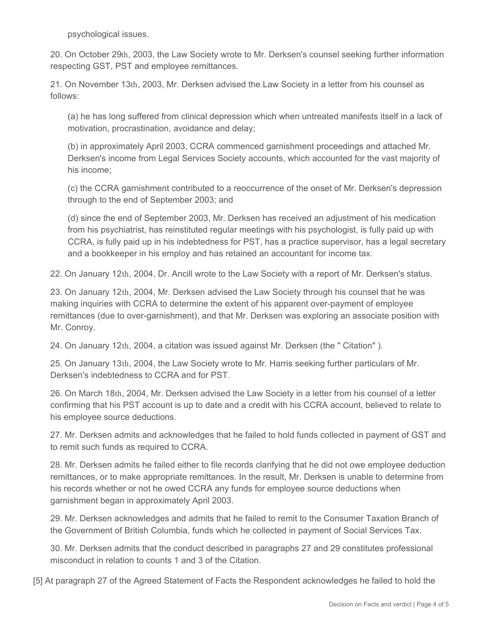psychological issues.

20. On October 29th, 2003, the Law Society wrote to Mr. Derksen's counsel seeking further information respecting GST, PST and employee remittances.

21. On November 13th, 2003, Mr. Derksen advised the Law Society in a letter from his counsel as follows:

(a) he has long suffered from clinical depression which when untreated manifests itself in a lack of motivation, procrastination, avoidance and delay;

(b) in approximately April 2003, CCRA commenced garnishment proceedings and attached Mr. Derksen's income from Legal Services Society accounts, which accounted for the vast majority of his income;

(c) the CCRA garnishment contributed to a reoccurrence of the onset of Mr. Derksen's depression through to the end of September 2003; and

(d) since the end of September 2003, Mr. Derksen has received an adjustment of his medication from his psychiatrist, has reinstituted regular meetings with his psychologist, is fully paid up with CCRA, is fully paid up in his indebtedness for PST, has a practice supervisor, has a legal secretary and a bookkeeper in his employ and has retained an accountant for income tax.

22. On January 12th, 2004, Dr. Ancill wrote to the Law Society with a report of Mr. Derksen's status.

23. On January 12th, 2004, Mr. Derksen advised the Law Society through his counsel that he was making inquiries with CCRA to determine the extent of his apparent over-payment of employee remittances (due to over-garnishment), and that Mr. Derksen was exploring an associate position with Mr. Conroy.

24. On January 12th, 2004, a citation was issued against Mr. Derksen (the " Citation" ).

25. On January 13th, 2004, the Law Society wrote to Mr. Harris seeking further particulars of Mr. Derksen's indebtedness to CCRA and for PST.

26. On March 18th, 2004, Mr. Derksen advised the Law Society in a letter from his counsel of a letter confirming that his PST account is up to date and a credit with his CCRA account, believed to relate to his employee source deductions.

27. Mr. Derksen admits and acknowledges that he failed to hold funds collected in payment of GST and to remit such funds as required to CCRA.

28. Mr. Derksen admits he failed either to file records clarifying that he did not owe employee deduction remittances, or to make appropriate remittances. In the result, Mr. Derksen is unable to determine from his records whether or not he owed CCRA any funds for employee source deductions when garnishment began in approximately April 2003.

29. Mr. Derksen acknowledges and admits that he failed to remit to the Consumer Taxation Branch of the Government of British Columbia, funds which he collected in payment of Social Services Tax.

30. Mr. Derksen admits that the conduct described in paragraphs 27 and 29 constitutes professional misconduct in relation to counts 1 and 3 of the Citation.

[5] At paragraph 27 of the Agreed Statement of Facts the Respondent acknowledges he failed to hold the